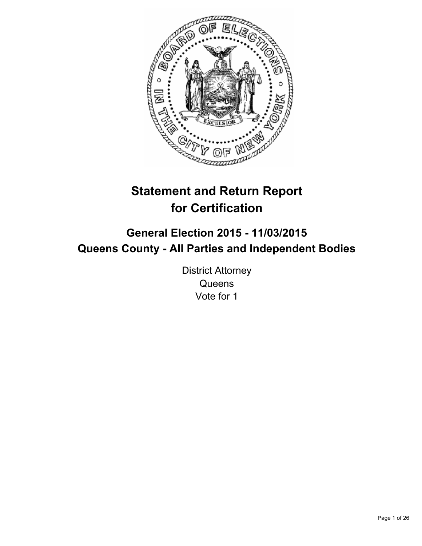

# **Statement and Return Report for Certification**

## **General Election 2015 - 11/03/2015 Queens County - All Parties and Independent Bodies**

District Attorney **Queens** Vote for 1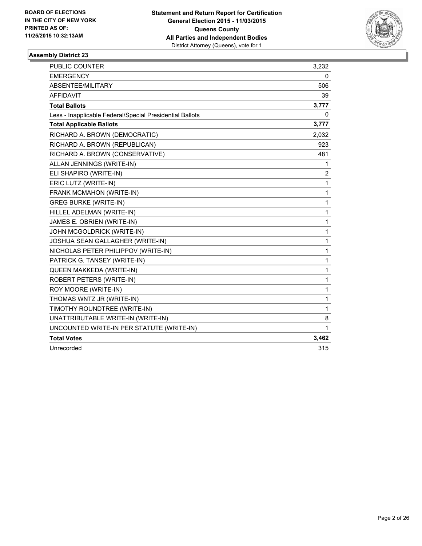

| <b>PUBLIC COUNTER</b>                                    | 3,232        |
|----------------------------------------------------------|--------------|
| <b>EMERGENCY</b>                                         | 0            |
| ABSENTEE/MILITARY                                        | 506          |
| <b>AFFIDAVIT</b>                                         | 39           |
| <b>Total Ballots</b>                                     | 3,777        |
| Less - Inapplicable Federal/Special Presidential Ballots | 0            |
| <b>Total Applicable Ballots</b>                          | 3,777        |
| RICHARD A. BROWN (DEMOCRATIC)                            | 2,032        |
| RICHARD A. BROWN (REPUBLICAN)                            | 923          |
| RICHARD A. BROWN (CONSERVATIVE)                          | 481          |
| ALLAN JENNINGS (WRITE-IN)                                | 1            |
| ELI SHAPIRO (WRITE-IN)                                   | 2            |
| ERIC LUTZ (WRITE-IN)                                     | $\mathbf{1}$ |
| FRANK MCMAHON (WRITE-IN)                                 | 1            |
| <b>GREG BURKE (WRITE-IN)</b>                             | 1            |
| HILLEL ADELMAN (WRITE-IN)                                | $\mathbf{1}$ |
| JAMES E. OBRIEN (WRITE-IN)                               | 1            |
| JOHN MCGOLDRICK (WRITE-IN)                               | $\mathbf 1$  |
| JOSHUA SEAN GALLAGHER (WRITE-IN)                         | $\mathbf{1}$ |
| NICHOLAS PETER PHILIPPOV (WRITE-IN)                      | $\mathbf{1}$ |
| PATRICK G. TANSEY (WRITE-IN)                             | $\mathbf{1}$ |
| QUEEN MAKKEDA (WRITE-IN)                                 | $\mathbf{1}$ |
| ROBERT PETERS (WRITE-IN)                                 | $\mathbf{1}$ |
| ROY MOORE (WRITE-IN)                                     | $\mathbf{1}$ |
| THOMAS WNTZ JR (WRITE-IN)                                | 1            |
| TIMOTHY ROUNDTREE (WRITE-IN)                             | 1            |
| UNATTRIBUTABLE WRITE-IN (WRITE-IN)                       | 8            |
| UNCOUNTED WRITE-IN PER STATUTE (WRITE-IN)                | $\mathbf{1}$ |
| <b>Total Votes</b>                                       | 3,462        |
| Unrecorded                                               | 315          |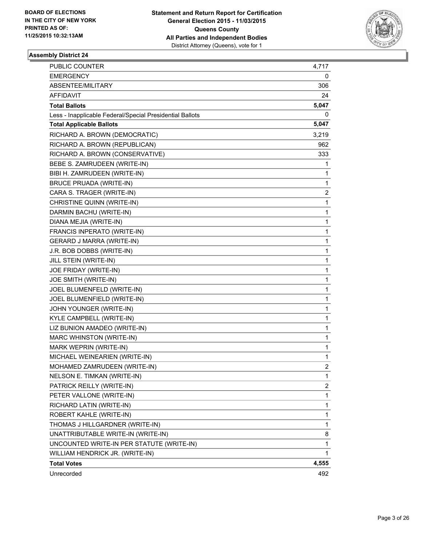

| <b>PUBLIC COUNTER</b>                                    | 4,717       |
|----------------------------------------------------------|-------------|
| <b>EMERGENCY</b>                                         | 0           |
| ABSENTEE/MILITARY                                        | 306         |
| AFFIDAVIT                                                | 24          |
| <b>Total Ballots</b>                                     | 5,047       |
| Less - Inapplicable Federal/Special Presidential Ballots | 0           |
| <b>Total Applicable Ballots</b>                          | 5,047       |
| RICHARD A. BROWN (DEMOCRATIC)                            | 3,219       |
| RICHARD A. BROWN (REPUBLICAN)                            | 962         |
| RICHARD A. BROWN (CONSERVATIVE)                          | 333         |
| BEBE S. ZAMRUDEEN (WRITE-IN)                             | 1           |
| BIBI H. ZAMRUDEEN (WRITE-IN)                             | 1           |
| <b>BRUCE PRUADA (WRITE-IN)</b>                           | 1           |
| CARA S. TRAGER (WRITE-IN)                                | 2           |
| CHRISTINE QUINN (WRITE-IN)                               | 1           |
| DARMIN BACHU (WRITE-IN)                                  | 1           |
| DIANA MEJIA (WRITE-IN)                                   | 1           |
| FRANCIS INPERATO (WRITE-IN)                              | 1           |
| GERARD J MARRA (WRITE-IN)                                | 1           |
| J.R. BOB DOBBS (WRITE-IN)                                | 1           |
| JILL STEIN (WRITE-IN)                                    | 1           |
| JOE FRIDAY (WRITE-IN)                                    | 1           |
| JOE SMITH (WRITE-IN)                                     | 1           |
| JOEL BLUMENFELD (WRITE-IN)                               | 1           |
| JOEL BLUMENFIELD (WRITE-IN)                              | 1           |
| JOHN YOUNGER (WRITE-IN)                                  | 1           |
| KYLE CAMPBELL (WRITE-IN)                                 | 1           |
| LIZ BUNION AMADEO (WRITE-IN)                             | 1           |
| MARC WHINSTON (WRITE-IN)                                 | 1           |
| MARK WEPRIN (WRITE-IN)                                   | $\mathbf 1$ |
| MICHAEL WEINEARIEN (WRITE-IN)                            | 1           |
| MOHAMED ZAMRUDEEN (WRITE-IN)                             | 2           |
| NELSON E. TIMKAN (WRITE-IN)                              | 1           |
| PATRICK REILLY (WRITE-IN)                                | 2           |
| PETER VALLONE (WRITE-IN)                                 | 1           |
| RICHARD LATIN (WRITE-IN)                                 | 1           |
| ROBERT KAHLE (WRITE-IN)                                  | 1           |
| THOMAS J HILLGARDNER (WRITE-IN)                          | 1           |
| UNATTRIBUTABLE WRITE-IN (WRITE-IN)                       | 8           |
| UNCOUNTED WRITE-IN PER STATUTE (WRITE-IN)                | 1           |
| WILLIAM HENDRICK JR. (WRITE-IN)                          | 1           |
| <b>Total Votes</b>                                       | 4,555       |
| Unrecorded                                               | 492         |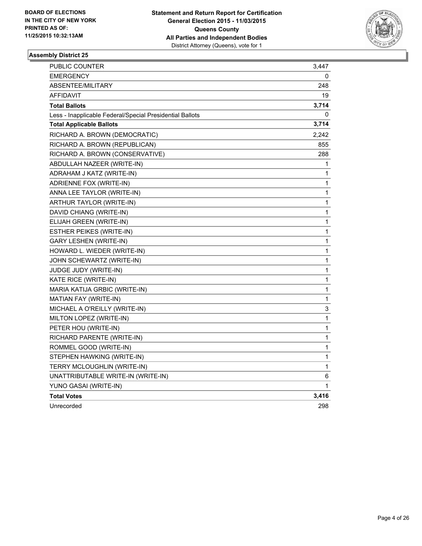

| PUBLIC COUNTER                                           | 3,447 |
|----------------------------------------------------------|-------|
| <b>EMERGENCY</b>                                         | 0     |
| ABSENTEE/MILITARY                                        | 248   |
| AFFIDAVIT                                                | 19    |
| <b>Total Ballots</b>                                     | 3,714 |
| Less - Inapplicable Federal/Special Presidential Ballots | 0     |
| <b>Total Applicable Ballots</b>                          | 3,714 |
| RICHARD A. BROWN (DEMOCRATIC)                            | 2,242 |
| RICHARD A. BROWN (REPUBLICAN)                            | 855   |
| RICHARD A. BROWN (CONSERVATIVE)                          | 288   |
| ABDULLAH NAZEER (WRITE-IN)                               | 1     |
| ADRAHAM J KATZ (WRITE-IN)                                | 1     |
| ADRIENNE FOX (WRITE-IN)                                  | 1     |
| ANNA LEE TAYLOR (WRITE-IN)                               | 1     |
| ARTHUR TAYLOR (WRITE-IN)                                 | 1     |
| DAVID CHIANG (WRITE-IN)                                  | 1     |
| ELIJAH GREEN (WRITE-IN)                                  | 1     |
| ESTHER PEIKES (WRITE-IN)                                 | 1     |
| GARY LESHEN (WRITE-IN)                                   | 1     |
| HOWARD L. WIEDER (WRITE-IN)                              | 1     |
| JOHN SCHEWARTZ (WRITE-IN)                                | 1     |
| JUDGE JUDY (WRITE-IN)                                    | 1     |
| KATE RICE (WRITE-IN)                                     | 1     |
| MARIA KATIJA GRBIC (WRITE-IN)                            | 1     |
| MATIAN FAY (WRITE-IN)                                    | 1     |
| MICHAEL A O'REILLY (WRITE-IN)                            | 3     |
| MILTON LOPEZ (WRITE-IN)                                  | 1     |
| PETER HOU (WRITE-IN)                                     | 1     |
| RICHARD PARENTE (WRITE-IN)                               | 1     |
| ROMMEL GOOD (WRITE-IN)                                   | 1     |
| STEPHEN HAWKING (WRITE-IN)                               | 1     |
| TERRY MCLOUGHLIN (WRITE-IN)                              | 1     |
| UNATTRIBUTABLE WRITE-IN (WRITE-IN)                       | 6     |
| YUNO GASAI (WRITE-IN)                                    | 1     |
| <b>Total Votes</b>                                       | 3,416 |
| Unrecorded                                               | 298   |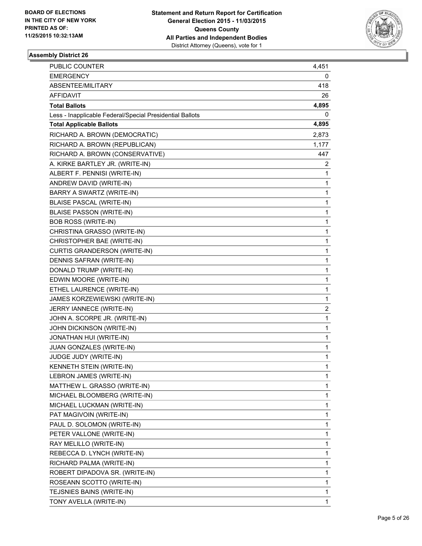

| <b>PUBLIC COUNTER</b>                                    | 4,451          |
|----------------------------------------------------------|----------------|
| <b>EMERGENCY</b>                                         | 0              |
| ABSENTEE/MILITARY                                        | 418            |
| AFFIDAVIT                                                | 26             |
| <b>Total Ballots</b>                                     | 4,895          |
| Less - Inapplicable Federal/Special Presidential Ballots | 0              |
| <b>Total Applicable Ballots</b>                          | 4,895          |
| RICHARD A. BROWN (DEMOCRATIC)                            | 2,873          |
| RICHARD A. BROWN (REPUBLICAN)                            | 1,177          |
| RICHARD A. BROWN (CONSERVATIVE)                          | 447            |
| A. KIRKE BARTLEY JR. (WRITE-IN)                          | 2              |
| ALBERT F. PENNISI (WRITE-IN)                             | 1              |
| ANDREW DAVID (WRITE-IN)                                  | 1              |
| BARRY A SWARTZ (WRITE-IN)                                | 1              |
| <b>BLAISE PASCAL (WRITE-IN)</b>                          | 1              |
| <b>BLAISE PASSON (WRITE-IN)</b>                          | 1              |
| <b>BOB ROSS (WRITE-IN)</b>                               | 1              |
| CHRISTINA GRASSO (WRITE-IN)                              | 1              |
| CHRISTOPHER BAE (WRITE-IN)                               | 1              |
| CURTIS GRANDERSON (WRITE-IN)                             | 1              |
| DENNIS SAFRAN (WRITE-IN)                                 | 1              |
| DONALD TRUMP (WRITE-IN)                                  | 1              |
| EDWIN MOORE (WRITE-IN)                                   | 1              |
| ETHEL LAURENCE (WRITE-IN)                                | 1              |
| JAMES KORZEWIEWSKI (WRITE-IN)                            | 1              |
| JERRY IANNECE (WRITE-IN)                                 | $\overline{2}$ |
| JOHN A. SCORPE JR. (WRITE-IN)                            | 1              |
| JOHN DICKINSON (WRITE-IN)                                | 1              |
| JONATHAN HUI (WRITE-IN)                                  | 1              |
| JUAN GONZALES (WRITE-IN)                                 | 1              |
| JUDGE JUDY (WRITE-IN)                                    | 1              |
| KENNETH STEIN (WRITE-IN)                                 | 1              |
| LEBRON JAMES (WRITE-IN)                                  | 1              |
| MATTHEW L. GRASSO (WRITE-IN)                             | 1              |
| MICHAEL BLOOMBERG (WRITE-IN)                             | 1              |
| MICHAEL LUCKMAN (WRITE-IN)                               | 1              |
| PAT MAGIVOIN (WRITE-IN)                                  | 1              |
| PAUL D. SOLOMON (WRITE-IN)                               | 1              |
| PETER VALLONE (WRITE-IN)                                 | 1              |
| RAY MELILLO (WRITE-IN)                                   | 1              |
| REBECCA D. LYNCH (WRITE-IN)                              | 1              |
| RICHARD PALMA (WRITE-IN)                                 | 1              |
| ROBERT DIPADOVA SR. (WRITE-IN)                           | 1              |
| ROSEANN SCOTTO (WRITE-IN)                                | 1              |
| TEJSNIES BAINS (WRITE-IN)                                | 1              |
| TONY AVELLA (WRITE-IN)                                   | 1              |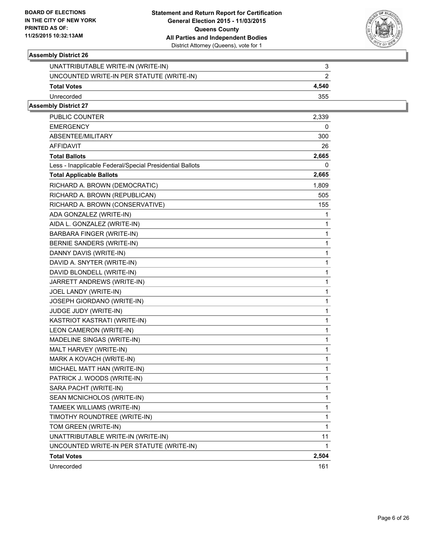

| UNATTRIBUTABLE WRITE-IN (WRITE-IN)        |       |
|-------------------------------------------|-------|
| UNCOUNTED WRITE-IN PER STATUTE (WRITE-IN) |       |
| <b>Total Votes</b>                        | 4.540 |
| Unrecorded                                | 355   |
|                                           |       |

| PUBLIC COUNTER                                           | 2,339 |
|----------------------------------------------------------|-------|
| <b>EMERGENCY</b>                                         | 0     |
| <b>ABSENTEE/MILITARY</b>                                 | 300   |
| AFFIDAVIT                                                | 26    |
| <b>Total Ballots</b>                                     | 2,665 |
| Less - Inapplicable Federal/Special Presidential Ballots | 0     |
| <b>Total Applicable Ballots</b>                          | 2,665 |
| RICHARD A. BROWN (DEMOCRATIC)                            | 1,809 |
| RICHARD A. BROWN (REPUBLICAN)                            | 505   |
| RICHARD A. BROWN (CONSERVATIVE)                          | 155   |
| ADA GONZALEZ (WRITE-IN)                                  | 1     |
| AIDA L. GONZALEZ (WRITE-IN)                              | 1     |
| BARBARA FINGER (WRITE-IN)                                | 1     |
| BERNIE SANDERS (WRITE-IN)                                | 1     |
| DANNY DAVIS (WRITE-IN)                                   | 1     |
| DAVID A. SNYTER (WRITE-IN)                               | 1     |
| DAVID BLONDELL (WRITE-IN)                                | 1     |
| JARRETT ANDREWS (WRITE-IN)                               | 1     |
| JOEL LANDY (WRITE-IN)                                    | 1     |
| JOSEPH GIORDANO (WRITE-IN)                               | 1     |
| JUDGE JUDY (WRITE-IN)                                    | 1     |
| KASTRIOT KASTRATI (WRITE-IN)                             | 1     |
| LEON CAMERON (WRITE-IN)                                  | 1     |
| MADELINE SINGAS (WRITE-IN)                               | 1     |
| MALT HARVEY (WRITE-IN)                                   | 1     |
| MARK A KOVACH (WRITE-IN)                                 | 1     |
| MICHAEL MATT HAN (WRITE-IN)                              | 1     |
| PATRICK J. WOODS (WRITE-IN)                              | 1     |
| SARA PACHT (WRITE-IN)                                    | 1     |
| SEAN MCNICHOLOS (WRITE-IN)                               | 1     |
| TAMEEK WILLIAMS (WRITE-IN)                               | 1     |
| TIMOTHY ROUNDTREE (WRITE-IN)                             | 1     |
| TOM GREEN (WRITE-IN)                                     | 1     |
| UNATTRIBUTABLE WRITE-IN (WRITE-IN)                       | 11    |
| UNCOUNTED WRITE-IN PER STATUTE (WRITE-IN)                | 1     |
| <b>Total Votes</b>                                       | 2,504 |
| Unrecorded                                               | 161   |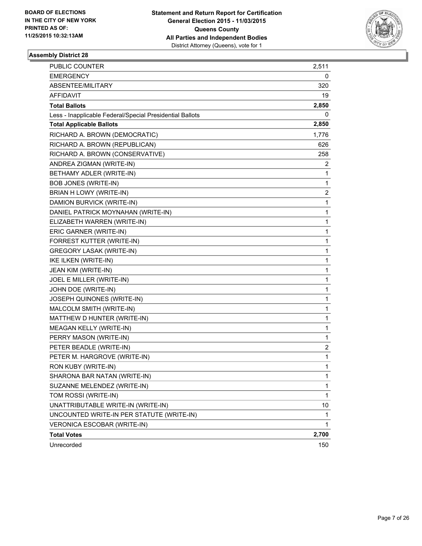

| PUBLIC COUNTER                                           | 2,511        |
|----------------------------------------------------------|--------------|
| <b>EMERGENCY</b>                                         | 0            |
| ABSENTEE/MILITARY                                        | 320          |
| AFFIDAVIT                                                | 19           |
| <b>Total Ballots</b>                                     | 2,850        |
| Less - Inapplicable Federal/Special Presidential Ballots | 0            |
| <b>Total Applicable Ballots</b>                          | 2,850        |
| RICHARD A. BROWN (DEMOCRATIC)                            | 1,776        |
| RICHARD A. BROWN (REPUBLICAN)                            | 626          |
| RICHARD A. BROWN (CONSERVATIVE)                          | 258          |
| ANDREA ZIGMAN (WRITE-IN)                                 | 2            |
| BETHAMY ADLER (WRITE-IN)                                 | 1            |
| <b>BOB JONES (WRITE-IN)</b>                              | 1            |
| BRIAN H LOWY (WRITE-IN)                                  | 2            |
| DAMION BURVICK (WRITE-IN)                                | 1            |
| DANIEL PATRICK MOYNAHAN (WRITE-IN)                       | 1            |
| ELIZABETH WARREN (WRITE-IN)                              | 1            |
| ERIC GARNER (WRITE-IN)                                   | 1            |
| FORREST KUTTER (WRITE-IN)                                | 1            |
| <b>GREGORY LASAK (WRITE-IN)</b>                          | 1            |
| IKE ILKEN (WRITE-IN)                                     | 1            |
| JEAN KIM (WRITE-IN)                                      | 1            |
| JOEL E MILLER (WRITE-IN)                                 | 1            |
| JOHN DOE (WRITE-IN)                                      | 1            |
| JOSEPH QUINONES (WRITE-IN)                               | 1            |
| MALCOLM SMITH (WRITE-IN)                                 | 1            |
| MATTHEW D HUNTER (WRITE-IN)                              | 1            |
| MEAGAN KELLY (WRITE-IN)                                  | 1            |
| PERRY MASON (WRITE-IN)                                   | 1            |
| PETER BEADLE (WRITE-IN)                                  | 2            |
| PETER M. HARGROVE (WRITE-IN)                             | 1            |
| RON KUBY (WRITE-IN)                                      | 1            |
| SHARONA BAR NATAN (WRITE-IN)                             | 1            |
| SUZANNE MELENDEZ (WRITE-IN)                              | 1            |
| TOM ROSSI (WRITE-IN)                                     | $\mathbf{1}$ |
| UNATTRIBUTABLE WRITE-IN (WRITE-IN)                       | 10           |
| UNCOUNTED WRITE-IN PER STATUTE (WRITE-IN)                | 1            |
| <b>VERONICA ESCOBAR (WRITE-IN)</b>                       | $\mathbf{1}$ |
| <b>Total Votes</b>                                       | 2,700        |
| Unrecorded                                               | 150          |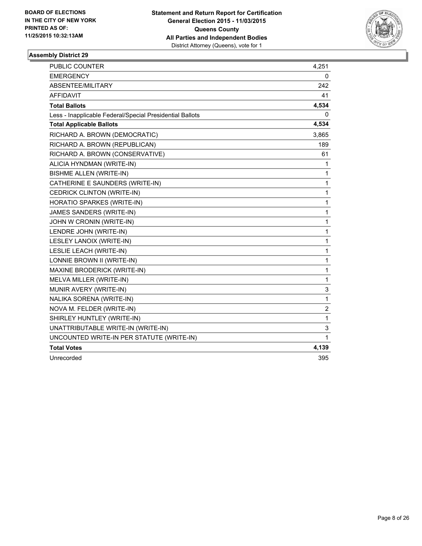

| <b>PUBLIC COUNTER</b>                                    | 4,251                   |
|----------------------------------------------------------|-------------------------|
| <b>EMERGENCY</b>                                         | 0                       |
| ABSENTEE/MILITARY                                        | 242                     |
| <b>AFFIDAVIT</b>                                         | 41                      |
| <b>Total Ballots</b>                                     | 4,534                   |
| Less - Inapplicable Federal/Special Presidential Ballots | 0                       |
| <b>Total Applicable Ballots</b>                          | 4,534                   |
| RICHARD A. BROWN (DEMOCRATIC)                            | 3,865                   |
| RICHARD A. BROWN (REPUBLICAN)                            | 189                     |
| RICHARD A. BROWN (CONSERVATIVE)                          | 61                      |
| ALICIA HYNDMAN (WRITE-IN)                                | 1                       |
| <b>BISHME ALLEN (WRITE-IN)</b>                           | 1                       |
| CATHERINE E SAUNDERS (WRITE-IN)                          | 1                       |
| CEDRICK CLINTON (WRITE-IN)                               | 1                       |
| HORATIO SPARKES (WRITE-IN)                               | 1                       |
| JAMES SANDERS (WRITE-IN)                                 | $\mathbf{1}$            |
| JOHN W CRONIN (WRITE-IN)                                 | 1                       |
| LENDRE JOHN (WRITE-IN)                                   | 1                       |
| LESLEY LANOIX (WRITE-IN)                                 | 1                       |
| LESLIE LEACH (WRITE-IN)                                  | 1                       |
| LONNIE BROWN II (WRITE-IN)                               | $\mathbf{1}$            |
| MAXINE BRODERICK (WRITE-IN)                              | 1                       |
| MELVA MILLER (WRITE-IN)                                  | $\mathbf{1}$            |
| MUNIR AVERY (WRITE-IN)                                   | 3                       |
| NALIKA SORENA (WRITE-IN)                                 | $\mathbf{1}$            |
| NOVA M. FELDER (WRITE-IN)                                | $\overline{\mathbf{c}}$ |
| SHIRLEY HUNTLEY (WRITE-IN)                               | $\mathbf 1$             |
| UNATTRIBUTABLE WRITE-IN (WRITE-IN)                       | 3                       |
| UNCOUNTED WRITE-IN PER STATUTE (WRITE-IN)                | 1                       |
| <b>Total Votes</b>                                       | 4,139                   |
| Unrecorded                                               | 395                     |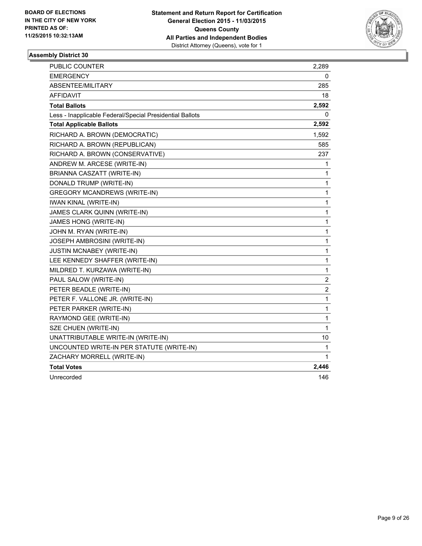

| PUBLIC COUNTER                                           | 2,289          |
|----------------------------------------------------------|----------------|
| <b>EMERGENCY</b>                                         | 0              |
| ABSENTEE/MILITARY                                        | 285            |
| AFFIDAVIT                                                | 18             |
| <b>Total Ballots</b>                                     | 2,592          |
| Less - Inapplicable Federal/Special Presidential Ballots | 0              |
| <b>Total Applicable Ballots</b>                          | 2,592          |
| RICHARD A. BROWN (DEMOCRATIC)                            | 1,592          |
| RICHARD A. BROWN (REPUBLICAN)                            | 585            |
| RICHARD A. BROWN (CONSERVATIVE)                          | 237            |
| ANDREW M. ARCESE (WRITE-IN)                              | 1              |
| BRIANNA CASZATT (WRITE-IN)                               | 1              |
| DONALD TRUMP (WRITE-IN)                                  | 1              |
| <b>GREGORY MCANDREWS (WRITE-IN)</b>                      | 1              |
| <b>IWAN KINAL (WRITE-IN)</b>                             | 1              |
| JAMES CLARK QUINN (WRITE-IN)                             | $\mathbf{1}$   |
| <b>JAMES HONG (WRITE-IN)</b>                             | 1              |
| JOHN M. RYAN (WRITE-IN)                                  | 1              |
| JOSEPH AMBROSINI (WRITE-IN)                              | 1              |
| <b>JUSTIN MCNABEY (WRITE-IN)</b>                         | 1              |
| LEE KENNEDY SHAFFER (WRITE-IN)                           | 1              |
| MILDRED T. KURZAWA (WRITE-IN)                            | 1              |
| PAUL SALOW (WRITE-IN)                                    | 2              |
| PETER BEADLE (WRITE-IN)                                  | $\overline{c}$ |
| PETER F. VALLONE JR. (WRITE-IN)                          | 1              |
| PETER PARKER (WRITE-IN)                                  | 1              |
| RAYMOND GEE (WRITE-IN)                                   | 1              |
| SZE CHUEN (WRITE-IN)                                     | 1              |
| UNATTRIBUTABLE WRITE-IN (WRITE-IN)                       | 10             |
| UNCOUNTED WRITE-IN PER STATUTE (WRITE-IN)                | 1              |
| ZACHARY MORRELL (WRITE-IN)                               | 1              |
| <b>Total Votes</b>                                       | 2,446          |
| Unrecorded                                               | 146            |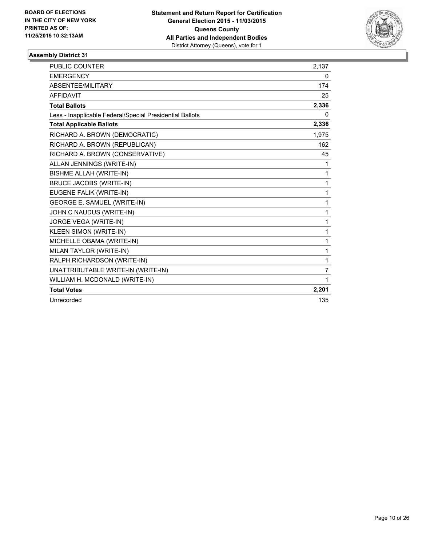

| PUBLIC COUNTER                                           | 2,137          |
|----------------------------------------------------------|----------------|
| <b>EMERGENCY</b>                                         | 0              |
| ABSENTEE/MILITARY                                        | 174            |
| <b>AFFIDAVIT</b>                                         | 25             |
| <b>Total Ballots</b>                                     | 2,336          |
| Less - Inapplicable Federal/Special Presidential Ballots | 0              |
| <b>Total Applicable Ballots</b>                          | 2,336          |
| RICHARD A. BROWN (DEMOCRATIC)                            | 1,975          |
| RICHARD A. BROWN (REPUBLICAN)                            | 162            |
| RICHARD A. BROWN (CONSERVATIVE)                          | 45             |
| ALLAN JENNINGS (WRITE-IN)                                | 1              |
| <b>BISHME ALLAH (WRITE-IN)</b>                           | 1              |
| <b>BRUCE JACOBS (WRITE-IN)</b>                           | 1              |
| EUGENE FALIK (WRITE-IN)                                  | 1              |
| <b>GEORGE E. SAMUEL (WRITE-IN)</b>                       | 1              |
| JOHN C NAUDUS (WRITE-IN)                                 | 1              |
| JORGE VEGA (WRITE-IN)                                    | 1              |
| KLEEN SIMON (WRITE-IN)                                   | 1              |
| MICHELLE OBAMA (WRITE-IN)                                | 1              |
| MILAN TAYLOR (WRITE-IN)                                  | 1              |
| RALPH RICHARDSON (WRITE-IN)                              | 1              |
| UNATTRIBUTABLE WRITE-IN (WRITE-IN)                       | $\overline{7}$ |
| WILLIAM H. MCDONALD (WRITE-IN)                           | 1              |
| <b>Total Votes</b>                                       | 2,201          |
| Unrecorded                                               | 135            |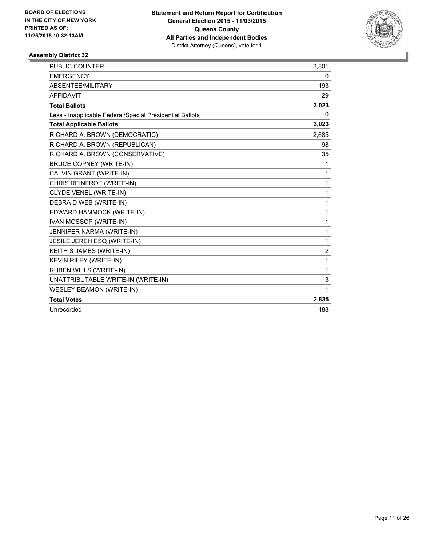

| <b>PUBLIC COUNTER</b>                                    | 2,801        |
|----------------------------------------------------------|--------------|
| <b>EMERGENCY</b>                                         | 0            |
| ABSENTEE/MILITARY                                        | 193          |
| <b>AFFIDAVIT</b>                                         | 29           |
| <b>Total Ballots</b>                                     | 3,023        |
| Less - Inapplicable Federal/Special Presidential Ballots | 0            |
| <b>Total Applicable Ballots</b>                          | 3,023        |
| RICHARD A. BROWN (DEMOCRATIC)                            | 2,685        |
| RICHARD A. BROWN (REPUBLICAN)                            | 98           |
| RICHARD A. BROWN (CONSERVATIVE)                          | 35           |
| <b>BRUCE COPNEY (WRITE-IN)</b>                           | 1            |
| CALVIN GRANT (WRITE-IN)                                  | 1            |
| CHRIS REINFROE (WRITE-IN)                                | $\mathbf{1}$ |
| CLYDE VENEL (WRITE-IN)                                   | 1            |
| DEBRA D WEB (WRITE-IN)                                   | $\mathbf{1}$ |
| EDWARD HAMMOCK (WRITE-IN)                                | 1            |
| <b>IVAN MOSSOP (WRITE-IN)</b>                            | $\mathbf{1}$ |
| JENNIFER NARMA (WRITE-IN)                                | 1            |
| JESILE JEREH ESQ (WRITE-IN)                              | $\mathbf{1}$ |
| KEITH S JAMES (WRITE-IN)                                 | 2            |
| KEVIN RILEY (WRITE-IN)                                   | 1            |
| <b>RUBEN WILLS (WRITE-IN)</b>                            | $\mathbf{1}$ |
| UNATTRIBUTABLE WRITE-IN (WRITE-IN)                       | 3            |
| <b>WESLEY BEAMON (WRITE-IN)</b>                          | 1            |
| <b>Total Votes</b>                                       | 2,835        |
| Unrecorded                                               | 188          |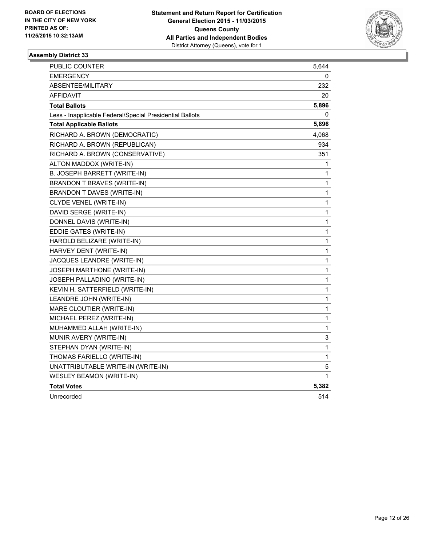

| PUBLIC COUNTER                                           | 5,644        |
|----------------------------------------------------------|--------------|
| EMERGENCY                                                | 0            |
| ABSENTEE/MILITARY                                        | 232          |
| AFFIDAVIT                                                | 20           |
| <b>Total Ballots</b>                                     | 5,896        |
| Less - Inapplicable Federal/Special Presidential Ballots | 0            |
| <b>Total Applicable Ballots</b>                          | 5,896        |
| RICHARD A. BROWN (DEMOCRATIC)                            | 4,068        |
| RICHARD A. BROWN (REPUBLICAN)                            | 934          |
| RICHARD A. BROWN (CONSERVATIVE)                          | 351          |
| ALTON MADDOX (WRITE-IN)                                  | 1            |
| B. JOSEPH BARRETT (WRITE-IN)                             | 1            |
| BRANDON T BRAVES (WRITE-IN)                              | 1            |
| BRANDON T DAVES (WRITE-IN)                               | 1            |
| CLYDE VENEL (WRITE-IN)                                   | 1            |
| DAVID SERGE (WRITE-IN)                                   | $\mathbf{1}$ |
| DONNEL DAVIS (WRITE-IN)                                  | 1            |
| EDDIE GATES (WRITE-IN)                                   | 1            |
| HAROLD BELIZARE (WRITE-IN)                               | 1            |
| HARVEY DENT (WRITE-IN)                                   | 1            |
| JACQUES LEANDRE (WRITE-IN)                               | 1            |
| JOSEPH MARTHONE (WRITE-IN)                               | 1            |
| JOSEPH PALLADINO (WRITE-IN)                              | $\mathbf{1}$ |
| KEVIN H. SATTERFIELD (WRITE-IN)                          | 1            |
| LEANDRE JOHN (WRITE-IN)                                  | 1            |
| MARE CLOUTIER (WRITE-IN)                                 | 1            |
| MICHAEL PEREZ (WRITE-IN)                                 | 1            |
| MUHAMMED ALLAH (WRITE-IN)                                | 1            |
| MUNIR AVERY (WRITE-IN)                                   | 3            |
| STEPHAN DYAN (WRITE-IN)                                  | 1            |
| THOMAS FARIELLO (WRITE-IN)                               | $\mathbf{1}$ |
| UNATTRIBUTABLE WRITE-IN (WRITE-IN)                       | 5            |
| <b>WESLEY BEAMON (WRITE-IN)</b>                          | 1            |
| <b>Total Votes</b>                                       | 5,382        |
| Unrecorded                                               | 514          |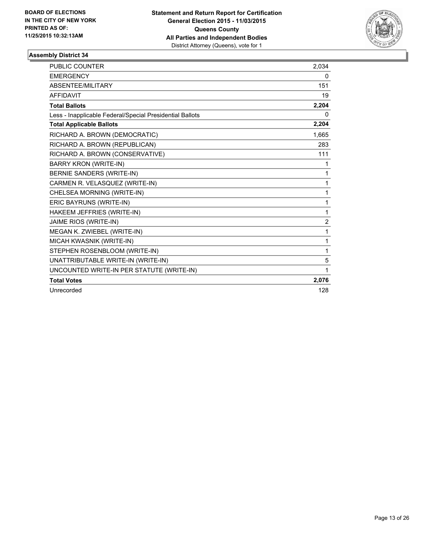

| <b>PUBLIC COUNTER</b>                                    | 2,034          |
|----------------------------------------------------------|----------------|
| <b>EMERGENCY</b>                                         | 0              |
| ABSENTEE/MILITARY                                        | 151            |
| <b>AFFIDAVIT</b>                                         | 19             |
| <b>Total Ballots</b>                                     | 2,204          |
| Less - Inapplicable Federal/Special Presidential Ballots | $\mathbf{0}$   |
| <b>Total Applicable Ballots</b>                          | 2,204          |
| RICHARD A. BROWN (DEMOCRATIC)                            | 1,665          |
| RICHARD A. BROWN (REPUBLICAN)                            | 283            |
| RICHARD A. BROWN (CONSERVATIVE)                          | 111            |
| <b>BARRY KRON (WRITE-IN)</b>                             | 1              |
| BERNIE SANDERS (WRITE-IN)                                | 1              |
| CARMEN R. VELASQUEZ (WRITE-IN)                           | 1              |
| CHELSEA MORNING (WRITE-IN)                               | 1              |
| ERIC BAYRUNS (WRITE-IN)                                  | 1              |
| HAKEEM JEFFRIES (WRITE-IN)                               | 1              |
| JAIME RIOS (WRITE-IN)                                    | $\overline{2}$ |
| MEGAN K. ZWIEBEL (WRITE-IN)                              | 1              |
| MICAH KWASNIK (WRITE-IN)                                 | 1              |
| STEPHEN ROSENBLOOM (WRITE-IN)                            | 1              |
| UNATTRIBUTABLE WRITE-IN (WRITE-IN)                       | 5              |
| UNCOUNTED WRITE-IN PER STATUTE (WRITE-IN)                | 1              |
| <b>Total Votes</b>                                       | 2,076          |
| Unrecorded                                               | 128            |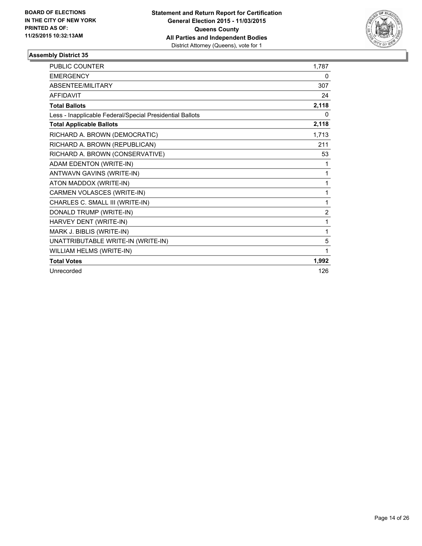

| <b>PUBLIC COUNTER</b>                                    | 1.787          |
|----------------------------------------------------------|----------------|
| <b>EMERGENCY</b>                                         | 0              |
| ABSENTEE/MILITARY                                        | 307            |
| <b>AFFIDAVIT</b>                                         | 24             |
| <b>Total Ballots</b>                                     | 2,118          |
| Less - Inapplicable Federal/Special Presidential Ballots | 0              |
| <b>Total Applicable Ballots</b>                          | 2,118          |
| RICHARD A. BROWN (DEMOCRATIC)                            | 1.713          |
| RICHARD A. BROWN (REPUBLICAN)                            | 211            |
| RICHARD A. BROWN (CONSERVATIVE)                          | 53             |
| ADAM EDENTON (WRITE-IN)                                  | 1              |
| ANTWAVN GAVINS (WRITE-IN)                                | 1              |
| ATON MADDOX (WRITE-IN)                                   | 1              |
| CARMEN VOLASCES (WRITE-IN)                               | 1              |
| CHARLES C. SMALL III (WRITE-IN)                          | 1              |
| DONALD TRUMP (WRITE-IN)                                  | $\overline{2}$ |
| HARVEY DENT (WRITE-IN)                                   | 1              |
| MARK J. BIBLIS (WRITE-IN)                                | 1              |
| UNATTRIBUTABLE WRITE-IN (WRITE-IN)                       | 5              |
| WILLIAM HELMS (WRITE-IN)                                 | 1              |
| <b>Total Votes</b>                                       | 1,992          |
| Unrecorded                                               | 126            |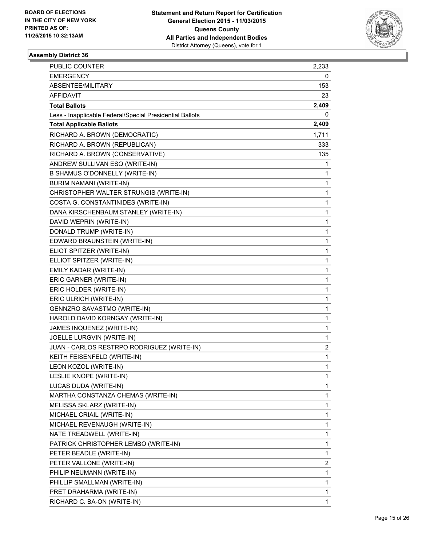

| <b>PUBLIC COUNTER</b>                                    | 2,233 |
|----------------------------------------------------------|-------|
| <b>EMERGENCY</b>                                         | 0     |
| ABSENTEE/MILITARY                                        | 153   |
| AFFIDAVIT                                                | 23    |
| <b>Total Ballots</b>                                     | 2,409 |
| Less - Inapplicable Federal/Special Presidential Ballots | 0     |
| <b>Total Applicable Ballots</b>                          | 2,409 |
| RICHARD A. BROWN (DEMOCRATIC)                            | 1,711 |
| RICHARD A. BROWN (REPUBLICAN)                            | 333   |
| RICHARD A. BROWN (CONSERVATIVE)                          | 135   |
| ANDREW SULLIVAN ESQ (WRITE-IN)                           | 1     |
| B SHAMUS O'DONNELLY (WRITE-IN)                           | 1     |
| BURIM NAMANI (WRITE-IN)                                  | 1     |
| CHRISTOPHER WALTER STRUNGIS (WRITE-IN)                   | 1     |
| COSTA G. CONSTANTINIDES (WRITE-IN)                       | 1     |
| DANA KIRSCHENBAUM STANLEY (WRITE-IN)                     | 1     |
| DAVID WEPRIN (WRITE-IN)                                  | 1     |
| DONALD TRUMP (WRITE-IN)                                  | 1     |
| EDWARD BRAUNSTEIN (WRITE-IN)                             | 1     |
| ELIOT SPITZER (WRITE-IN)                                 | 1     |
| ELLIOT SPITZER (WRITE-IN)                                | 1     |
| EMILY KADAR (WRITE-IN)                                   | 1     |
| ERIC GARNER (WRITE-IN)                                   | 1     |
| ERIC HOLDER (WRITE-IN)                                   | 1     |
| ERIC ULRICH (WRITE-IN)                                   | 1     |
| GENNZRO SAVASTMO (WRITE-IN)                              | 1     |
| HAROLD DAVID KORNGAY (WRITE-IN)                          | 1     |
| JAMES INQUENEZ (WRITE-IN)                                | 1     |
| JOELLE LURGVIN (WRITE-IN)                                | 1     |
| JUAN - CARLOS RESTRPO RODRIGUEZ (WRITE-IN)               | 2     |
| KEITH FEISENFELD (WRITE-IN)                              | 1     |
| LEON KOZOL (WRITE-IN)                                    | 1     |
| LESLIE KNOPE (WRITE-IN)                                  | 1     |
| LUCAS DUDA (WRITE-IN)                                    | 1     |
| MARTHA CONSTANZA CHEMAS (WRITE-IN)                       | 1     |
| MELISSA SKLARZ (WRITE-IN)                                | 1     |
| MICHAEL CRIAIL (WRITE-IN)                                | 1     |
| MICHAEL REVENAUGH (WRITE-IN)                             | 1     |
| NATE TREADWELL (WRITE-IN)                                | 1     |
| PATRICK CHRISTOPHER LEMBO (WRITE-IN)                     | 1     |
| PETER BEADLE (WRITE-IN)                                  | 1     |
| PETER VALLONE (WRITE-IN)                                 | 2     |
| PHILIP NEUMANN (WRITE-IN)                                | 1     |
| PHILLIP SMALLMAN (WRITE-IN)                              | 1     |
| PRET DRAHARMA (WRITE-IN)                                 | 1     |
| RICHARD C. BA-ON (WRITE-IN)                              | 1     |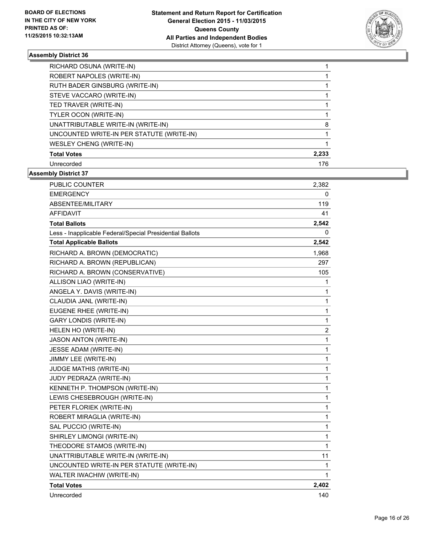

| RICHARD OSUNA (WRITE-IN)                  |       |
|-------------------------------------------|-------|
| ROBERT NAPOLES (WRITE-IN)                 |       |
| RUTH BADER GINSBURG (WRITE-IN)            |       |
| STEVE VACCARO (WRITE-IN)                  |       |
| TED TRAVER (WRITE-IN)                     |       |
| TYLER OCON (WRITE-IN)                     |       |
| UNATTRIBUTABLE WRITE-IN (WRITE-IN)        | 8     |
| UNCOUNTED WRITE-IN PER STATUTE (WRITE-IN) |       |
| <b>WESLEY CHENG (WRITE-IN)</b>            |       |
| <b>Total Votes</b>                        | 2,233 |
| Unrecorded                                | 176   |

| PUBLIC COUNTER                                           | 2,382          |
|----------------------------------------------------------|----------------|
| <b>EMERGENCY</b>                                         | 0              |
| ABSENTEE/MILITARY                                        | 119            |
| AFFIDAVIT                                                | 41             |
| <b>Total Ballots</b>                                     | 2,542          |
| Less - Inapplicable Federal/Special Presidential Ballots | 0              |
| <b>Total Applicable Ballots</b>                          | 2,542          |
| RICHARD A. BROWN (DEMOCRATIC)                            | 1,968          |
| RICHARD A. BROWN (REPUBLICAN)                            | 297            |
| RICHARD A. BROWN (CONSERVATIVE)                          | 105            |
| ALLISON LIAO (WRITE-IN)                                  | 1              |
| ANGELA Y. DAVIS (WRITE-IN)                               | 1              |
| CLAUDIA JANL (WRITE-IN)                                  | 1              |
| EUGENE RHEE (WRITE-IN)                                   | 1              |
| <b>GARY LONDIS (WRITE-IN)</b>                            | 1              |
| HELEN HO (WRITE-IN)                                      | $\overline{c}$ |
| <b>JASON ANTON (WRITE-IN)</b>                            | 1              |
| JESSE ADAM (WRITE-IN)                                    | 1              |
| JIMMY LEE (WRITE-IN)                                     | 1              |
| JUDGE MATHIS (WRITE-IN)                                  | 1              |
| JUDY PEDRAZA (WRITE-IN)                                  | 1              |
| KENNETH P. THOMPSON (WRITE-IN)                           | 1              |
| LEWIS CHESEBROUGH (WRITE-IN)                             | 1              |
| PETER FLORIEK (WRITE-IN)                                 | 1              |
| ROBERT MIRAGLIA (WRITE-IN)                               | 1              |
| SAL PUCCIO (WRITE-IN)                                    | 1              |
| SHIRLEY LIMONGI (WRITE-IN)                               | 1              |
| THEODORE STAMOS (WRITE-IN)                               | 1              |
| UNATTRIBUTABLE WRITE-IN (WRITE-IN)                       | 11             |
| UNCOUNTED WRITE-IN PER STATUTE (WRITE-IN)                | 1              |
| WALTER IWACHIW (WRITE-IN)                                | 1              |
| <b>Total Votes</b>                                       | 2,402          |
| Unrecorded                                               | 140            |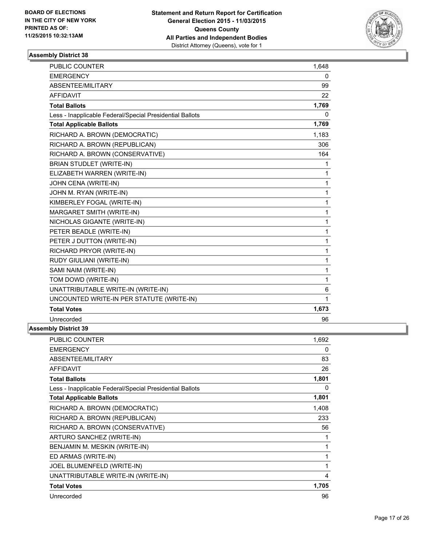

| <b>PUBLIC COUNTER</b>                                    | 1,648        |
|----------------------------------------------------------|--------------|
| <b>EMERGENCY</b>                                         | $\mathbf{0}$ |
| ABSENTEE/MILITARY                                        | 99           |
| <b>AFFIDAVIT</b>                                         | 22           |
| <b>Total Ballots</b>                                     | 1,769        |
| Less - Inapplicable Federal/Special Presidential Ballots | 0            |
| <b>Total Applicable Ballots</b>                          | 1,769        |
| RICHARD A. BROWN (DEMOCRATIC)                            | 1,183        |
| RICHARD A. BROWN (REPUBLICAN)                            | 306          |
| RICHARD A. BROWN (CONSERVATIVE)                          | 164          |
| <b>BRIAN STUDLET (WRITE-IN)</b>                          | 1.           |
| ELIZABETH WARREN (WRITE-IN)                              | 1            |
| JOHN CENA (WRITE-IN)                                     | 1            |
| JOHN M. RYAN (WRITE-IN)                                  | 1            |
| KIMBERLEY FOGAL (WRITE-IN)                               | 1            |
| MARGARET SMITH (WRITE-IN)                                | 1            |
| NICHOLAS GIGANTE (WRITE-IN)                              | 1            |
| PETER BEADLE (WRITE-IN)                                  | $\mathbf{1}$ |
| PETER J DUTTON (WRITE-IN)                                | 1            |
| RICHARD PRYOR (WRITE-IN)                                 | 1            |
| RUDY GIULIANI (WRITE-IN)                                 | 1            |
| SAMI NAIM (WRITE-IN)                                     | 1            |
| TOM DOWD (WRITE-IN)                                      | 1            |
| UNATTRIBUTABLE WRITE-IN (WRITE-IN)                       | 6            |
| UNCOUNTED WRITE-IN PER STATUTE (WRITE-IN)                | 1            |
| <b>Total Votes</b>                                       | 1,673        |
| Unrecorded                                               | 96           |
| <b>Assembly District 39</b>                              |              |

| <b>PUBLIC COUNTER</b>                                    | 1,692 |
|----------------------------------------------------------|-------|
| <b>EMERGENCY</b>                                         | 0     |
| ABSENTEE/MILITARY                                        | 83    |
| <b>AFFIDAVIT</b>                                         | 26    |
| <b>Total Ballots</b>                                     | 1,801 |
| Less - Inapplicable Federal/Special Presidential Ballots | 0     |
| <b>Total Applicable Ballots</b>                          | 1,801 |
| RICHARD A. BROWN (DEMOCRATIC)                            | 1,408 |
| RICHARD A. BROWN (REPUBLICAN)                            | 233   |
| RICHARD A. BROWN (CONSERVATIVE)                          | 56    |
| ARTURO SANCHEZ (WRITE-IN)                                | 1     |
| BENJAMIN M. MESKIN (WRITE-IN)                            | 1     |
| ED ARMAS (WRITE-IN)                                      | 1     |
| JOEL BLUMENFELD (WRITE-IN)                               | 1     |
| UNATTRIBUTABLE WRITE-IN (WRITE-IN)                       | 4     |
| <b>Total Votes</b>                                       | 1,705 |
| Unrecorded                                               | 96    |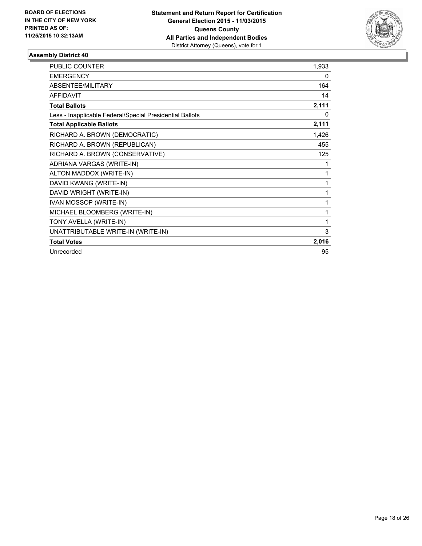

| <b>PUBLIC COUNTER</b>                                    | 1,933 |
|----------------------------------------------------------|-------|
| <b>EMERGENCY</b>                                         | 0     |
| <b>ABSENTEE/MILITARY</b>                                 | 164   |
| <b>AFFIDAVIT</b>                                         | 14    |
| <b>Total Ballots</b>                                     | 2,111 |
| Less - Inapplicable Federal/Special Presidential Ballots | 0     |
| <b>Total Applicable Ballots</b>                          | 2,111 |
| RICHARD A. BROWN (DEMOCRATIC)                            | 1,426 |
| RICHARD A. BROWN (REPUBLICAN)                            | 455   |
| RICHARD A. BROWN (CONSERVATIVE)                          | 125   |
| ADRIANA VARGAS (WRITE-IN)                                | 1     |
| ALTON MADDOX (WRITE-IN)                                  |       |
| DAVID KWANG (WRITE-IN)                                   | 1     |
| DAVID WRIGHT (WRITE-IN)                                  | 1     |
| IVAN MOSSOP (WRITE-IN)                                   | 1     |
| MICHAEL BLOOMBERG (WRITE-IN)                             | 1     |
| TONY AVELLA (WRITE-IN)                                   | 1     |
| UNATTRIBUTABLE WRITE-IN (WRITE-IN)                       | 3     |
| <b>Total Votes</b>                                       | 2,016 |
| Unrecorded                                               | 95    |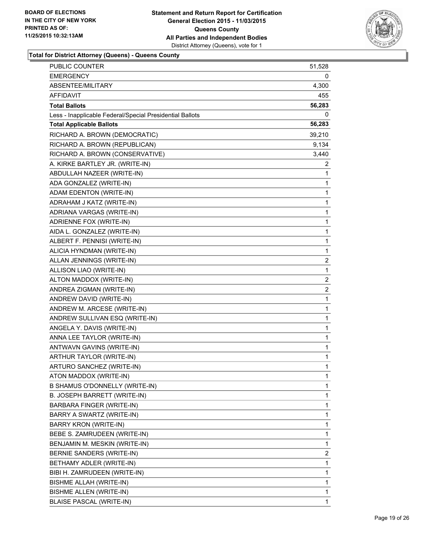

| PUBLIC COUNTER                                           | 51,528         |
|----------------------------------------------------------|----------------|
| <b>EMERGENCY</b>                                         | 0              |
| <b>ABSENTEE/MILITARY</b>                                 | 4,300          |
| AFFIDAVIT                                                | 455            |
| <b>Total Ballots</b>                                     | 56,283         |
| Less - Inapplicable Federal/Special Presidential Ballots | 0              |
| <b>Total Applicable Ballots</b>                          | 56,283         |
| RICHARD A. BROWN (DEMOCRATIC)                            | 39,210         |
| RICHARD A. BROWN (REPUBLICAN)                            | 9,134          |
| RICHARD A. BROWN (CONSERVATIVE)                          | 3,440          |
| A. KIRKE BARTLEY JR. (WRITE-IN)                          | 2              |
| ABDULLAH NAZEER (WRITE-IN)                               | 1              |
| ADA GONZALEZ (WRITE-IN)                                  | 1              |
| ADAM EDENTON (WRITE-IN)                                  | 1              |
| ADRAHAM J KATZ (WRITE-IN)                                | 1              |
| ADRIANA VARGAS (WRITE-IN)                                | 1              |
| ADRIENNE FOX (WRITE-IN)                                  | 1              |
| AIDA L. GONZALEZ (WRITE-IN)                              | 1              |
| ALBERT F. PENNISI (WRITE-IN)                             | 1              |
| ALICIA HYNDMAN (WRITE-IN)                                | 1              |
| ALLAN JENNINGS (WRITE-IN)                                | 2              |
| ALLISON LIAO (WRITE-IN)                                  | 1              |
| ALTON MADDOX (WRITE-IN)                                  | $\overline{2}$ |
| ANDREA ZIGMAN (WRITE-IN)                                 | $\overline{c}$ |
| ANDREW DAVID (WRITE-IN)                                  | 1              |
| ANDREW M. ARCESE (WRITE-IN)                              | 1              |
| ANDREW SULLIVAN ESQ (WRITE-IN)                           | 1              |
| ANGELA Y. DAVIS (WRITE-IN)                               | 1              |
| ANNA LEE TAYLOR (WRITE-IN)                               | 1              |
| ANTWAVN GAVINS (WRITE-IN)                                | 1              |
| ARTHUR TAYLOR (WRITE-IN)                                 | 1              |
| ARTURO SANCHEZ (WRITE-IN)                                | 1              |
| ATON MADDOX (WRITE-IN)                                   | 1              |
| B SHAMUS O'DONNELLY (WRITE-IN)                           | 1              |
| B. JOSEPH BARRETT (WRITE-IN)                             | 1              |
| BARBARA FINGER (WRITE-IN)                                | 1              |
| BARRY A SWARTZ (WRITE-IN)                                | 1              |
| <b>BARRY KRON (WRITE-IN)</b>                             | 1              |
| BEBE S. ZAMRUDEEN (WRITE-IN)                             | 1              |
| BENJAMIN M. MESKIN (WRITE-IN)                            | 1              |
| BERNIE SANDERS (WRITE-IN)                                | 2              |
| BETHAMY ADLER (WRITE-IN)                                 | 1              |
| BIBI H. ZAMRUDEEN (WRITE-IN)                             | 1              |
| BISHME ALLAH (WRITE-IN)                                  | 1              |
| BISHME ALLEN (WRITE-IN)                                  | 1              |
| <b>BLAISE PASCAL (WRITE-IN)</b>                          | 1              |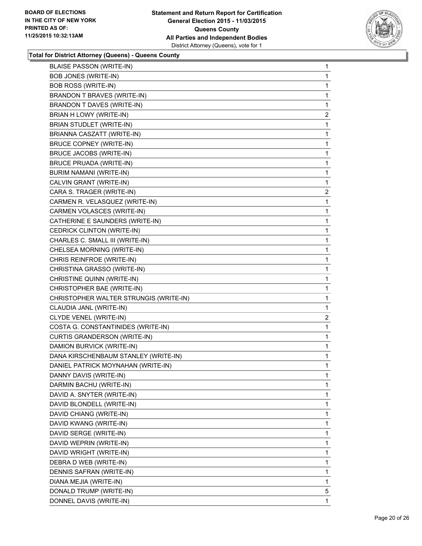

| <b>BLAISE PASSON (WRITE-IN)</b>        | 1                       |
|----------------------------------------|-------------------------|
| <b>BOB JONES (WRITE-IN)</b>            | 1                       |
| <b>BOB ROSS (WRITE-IN)</b>             | 1                       |
| BRANDON T BRAVES (WRITE-IN)            | 1                       |
| BRANDON T DAVES (WRITE-IN)             | 1                       |
| BRIAN H LOWY (WRITE-IN)                | $\mathbf{2}$            |
| BRIAN STUDLET (WRITE-IN)               | 1                       |
| BRIANNA CASZATT (WRITE-IN)             | 1                       |
| <b>BRUCE COPNEY (WRITE-IN)</b>         | 1                       |
| BRUCE JACOBS (WRITE-IN)                | 1                       |
| <b>BRUCE PRUADA (WRITE-IN)</b>         | 1                       |
| BURIM NAMANI (WRITE-IN)                | 1                       |
| CALVIN GRANT (WRITE-IN)                | 1                       |
| CARA S. TRAGER (WRITE-IN)              | $\overline{\mathbf{c}}$ |
| CARMEN R. VELASQUEZ (WRITE-IN)         | 1                       |
| CARMEN VOLASCES (WRITE-IN)             | 1                       |
| CATHERINE E SAUNDERS (WRITE-IN)        | 1                       |
| CEDRICK CLINTON (WRITE-IN)             | 1                       |
| CHARLES C. SMALL III (WRITE-IN)        | 1                       |
| CHELSEA MORNING (WRITE-IN)             | 1                       |
| CHRIS REINFROE (WRITE-IN)              | 1                       |
| CHRISTINA GRASSO (WRITE-IN)            | 1                       |
| CHRISTINE QUINN (WRITE-IN)             | 1                       |
| CHRISTOPHER BAE (WRITE-IN)             | 1                       |
| CHRISTOPHER WALTER STRUNGIS (WRITE-IN) | 1                       |
| CLAUDIA JANL (WRITE-IN)                | 1                       |
| CLYDE VENEL (WRITE-IN)                 | $\mathbf{2}$            |
| COSTA G. CONSTANTINIDES (WRITE-IN)     | $\mathbf{1}$            |
| CURTIS GRANDERSON (WRITE-IN)           | 1                       |
| DAMION BURVICK (WRITE-IN)              | 1                       |
| DANA KIRSCHENBAUM STANLEY (WRITE-IN)   | 1                       |
| DANIEL PATRICK MOYNAHAN (WRITE-IN)     | 1                       |
| DANNY DAVIS (WRITE-IN)                 | 1                       |
| DARMIN BACHU (WRITE-IN)                | 1                       |
| DAVID A. SNYTER (WRITE-IN)             | 1                       |
| DAVID BLONDELL (WRITE-IN)              | 1                       |
| DAVID CHIANG (WRITE-IN)                | 1                       |
| DAVID KWANG (WRITE-IN)                 | 1                       |
| DAVID SERGE (WRITE-IN)                 | 1                       |
| DAVID WEPRIN (WRITE-IN)                | 1                       |
| DAVID WRIGHT (WRITE-IN)                | 1                       |
| DEBRA D WEB (WRITE-IN)                 | 1                       |
| DENNIS SAFRAN (WRITE-IN)               | 1                       |
| DIANA MEJIA (WRITE-IN)                 | 1                       |
| DONALD TRUMP (WRITE-IN)                | 5                       |
| DONNEL DAVIS (WRITE-IN)                | 1                       |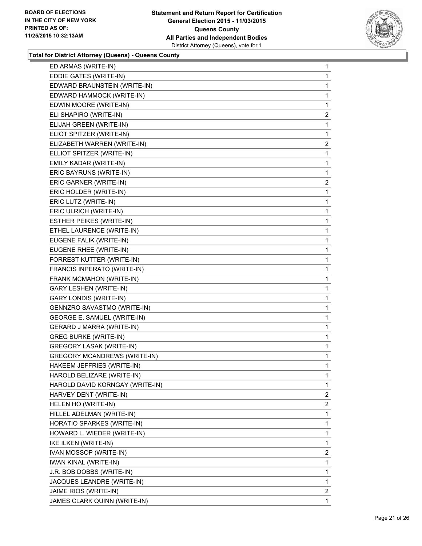

| ED ARMAS (WRITE-IN)                 | 1              |
|-------------------------------------|----------------|
| EDDIE GATES (WRITE-IN)              | 1              |
| EDWARD BRAUNSTEIN (WRITE-IN)        | 1              |
| EDWARD HAMMOCK (WRITE-IN)           | 1              |
| EDWIN MOORE (WRITE-IN)              | 1              |
| ELI SHAPIRO (WRITE-IN)              | $\overline{2}$ |
| ELIJAH GREEN (WRITE-IN)             | 1              |
| ELIOT SPITZER (WRITE-IN)            | 1              |
| ELIZABETH WARREN (WRITE-IN)         | $\overline{2}$ |
| ELLIOT SPITZER (WRITE-IN)           | 1              |
| EMILY KADAR (WRITE-IN)              | 1              |
| ERIC BAYRUNS (WRITE-IN)             | 1              |
| ERIC GARNER (WRITE-IN)              | $\overline{c}$ |
| ERIC HOLDER (WRITE-IN)              | 1              |
| ERIC LUTZ (WRITE-IN)                | 1              |
| ERIC ULRICH (WRITE-IN)              | 1              |
| <b>ESTHER PEIKES (WRITE-IN)</b>     | 1              |
| ETHEL LAURENCE (WRITE-IN)           | 1              |
| EUGENE FALIK (WRITE-IN)             | 1              |
| EUGENE RHEE (WRITE-IN)              | 1              |
| FORREST KUTTER (WRITE-IN)           | 1              |
| FRANCIS INPERATO (WRITE-IN)         | 1              |
| FRANK MCMAHON (WRITE-IN)            | 1              |
| GARY LESHEN (WRITE-IN)              | 1              |
| <b>GARY LONDIS (WRITE-IN)</b>       | 1              |
| GENNZRO SAVASTMO (WRITE-IN)         | 1              |
| GEORGE E. SAMUEL (WRITE-IN)         | 1              |
| GERARD J MARRA (WRITE-IN)           | 1              |
| <b>GREG BURKE (WRITE-IN)</b>        | 1              |
| <b>GREGORY LASAK (WRITE-IN)</b>     | 1              |
| <b>GREGORY MCANDREWS (WRITE-IN)</b> | 1              |
| HAKEEM JEFFRIES (WRITE-IN)          | 1              |
| HAROLD BELIZARE (WRITE-IN)          | 1              |
| HAROLD DAVID KORNGAY (WRITE-IN)     | 1              |
| HARVEY DENT (WRITE-IN)              | $\overline{2}$ |
| HELEN HO (WRITE-IN)                 | 2              |
| HILLEL ADELMAN (WRITE-IN)           | 1              |
| HORATIO SPARKES (WRITE-IN)          | 1              |
| HOWARD L. WIEDER (WRITE-IN)         | 1              |
| IKE ILKEN (WRITE-IN)                | 1              |
| IVAN MOSSOP (WRITE-IN)              | 2              |
| IWAN KINAL (WRITE-IN)               | 1              |
| J.R. BOB DOBBS (WRITE-IN)           | 1              |
| JACQUES LEANDRE (WRITE-IN)          | 1              |
| JAIME RIOS (WRITE-IN)               | $\overline{2}$ |
| JAMES CLARK QUINN (WRITE-IN)        | 1.             |
|                                     |                |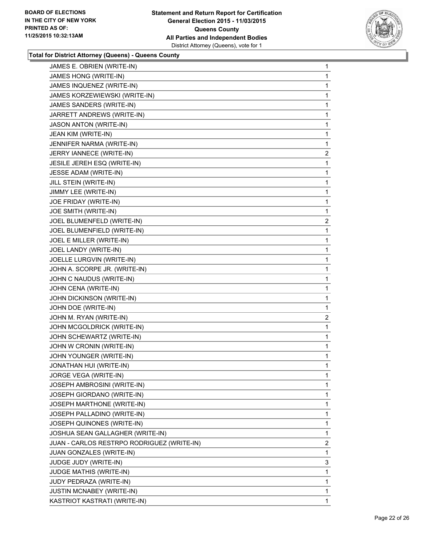

| JAMES E. OBRIEN (WRITE-IN)                 | 1              |
|--------------------------------------------|----------------|
| JAMES HONG (WRITE-IN)                      | 1              |
| JAMES INQUENEZ (WRITE-IN)                  | 1              |
| JAMES KORZEWIEWSKI (WRITE-IN)              | 1              |
| JAMES SANDERS (WRITE-IN)                   | 1              |
| JARRETT ANDREWS (WRITE-IN)                 | 1              |
| JASON ANTON (WRITE-IN)                     | 1              |
| JEAN KIM (WRITE-IN)                        | 1              |
| JENNIFER NARMA (WRITE-IN)                  | 1              |
| JERRY IANNECE (WRITE-IN)                   | 2              |
| JESILE JEREH ESQ (WRITE-IN)                | 1              |
| <b>JESSE ADAM (WRITE-IN)</b>               | 1              |
| JILL STEIN (WRITE-IN)                      | 1              |
| JIMMY LEE (WRITE-IN)                       | 1              |
| JOE FRIDAY (WRITE-IN)                      | 1              |
| JOE SMITH (WRITE-IN)                       | 1              |
| JOEL BLUMENFELD (WRITE-IN)                 | 2              |
| JOEL BLUMENFIELD (WRITE-IN)                | 1              |
| JOEL E MILLER (WRITE-IN)                   | 1              |
| JOEL LANDY (WRITE-IN)                      | 1              |
| JOELLE LURGVIN (WRITE-IN)                  | 1              |
| JOHN A. SCORPE JR. (WRITE-IN)              | 1              |
| JOHN C NAUDUS (WRITE-IN)                   | 1              |
| JOHN CENA (WRITE-IN)                       | 1              |
| JOHN DICKINSON (WRITE-IN)                  | 1              |
| JOHN DOE (WRITE-IN)                        | 1              |
| JOHN M. RYAN (WRITE-IN)                    | $\overline{2}$ |
| JOHN MCGOLDRICK (WRITE-IN)                 | 1              |
| JOHN SCHEWARTZ (WRITE-IN)                  | 1              |
| JOHN W CRONIN (WRITE-IN)                   | 1              |
| JOHN YOUNGER (WRITE-IN)                    | 1              |
| JONATHAN HUI (WRITE-IN)                    | 1              |
| JORGE VEGA (WRITE-IN)                      | 1              |
| JOSEPH AMBROSINI (WRITE-IN)                | 1              |
| JOSEPH GIORDANO (WRITE-IN)                 | 1              |
| JOSEPH MARTHONE (WRITE-IN)                 | 1              |
| JOSEPH PALLADINO (WRITE-IN)                | 1              |
| JOSEPH QUINONES (WRITE-IN)                 | 1              |
| JOSHUA SEAN GALLAGHER (WRITE-IN)           | 1              |
| JUAN - CARLOS RESTRPO RODRIGUEZ (WRITE-IN) | $\overline{a}$ |
| JUAN GONZALES (WRITE-IN)                   | 1              |
| JUDGE JUDY (WRITE-IN)                      | 3              |
| JUDGE MATHIS (WRITE-IN)                    | 1              |
| JUDY PEDRAZA (WRITE-IN)                    | 1              |
| <b>JUSTIN MCNABEY (WRITE-IN)</b>           | 1              |
| KASTRIOT KASTRATI (WRITE-IN)               | 1              |
|                                            |                |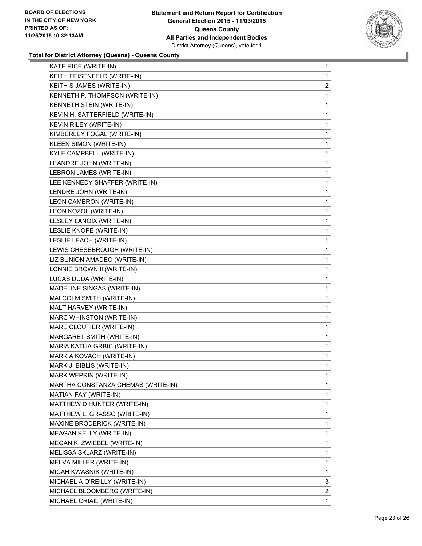

| KATE RICE (WRITE-IN)               | 1              |
|------------------------------------|----------------|
| KEITH FEISENFELD (WRITE-IN)        | 1              |
| KEITH S JAMES (WRITE-IN)           | $\overline{2}$ |
| KENNETH P. THOMPSON (WRITE-IN)     | 1              |
| KENNETH STEIN (WRITE-IN)           | 1              |
| KEVIN H. SATTERFIELD (WRITE-IN)    | 1              |
| KEVIN RILEY (WRITE-IN)             | 1              |
| KIMBERLEY FOGAL (WRITE-IN)         | 1              |
| KLEEN SIMON (WRITE-IN)             | 1              |
| KYLE CAMPBELL (WRITE-IN)           | 1              |
| LEANDRE JOHN (WRITE-IN)            | 1              |
| LEBRON JAMES (WRITE-IN)            | 1              |
| LEE KENNEDY SHAFFER (WRITE-IN)     | 1              |
| LENDRE JOHN (WRITE-IN)             | 1              |
| LEON CAMERON (WRITE-IN)            | 1              |
| LEON KOZOL (WRITE-IN)              | 1              |
| LESLEY LANOIX (WRITE-IN)           | 1              |
| LESLIE KNOPE (WRITE-IN)            | 1              |
| LESLIE LEACH (WRITE-IN)            | 1              |
| LEWIS CHESEBROUGH (WRITE-IN)       | 1              |
| LIZ BUNION AMADEO (WRITE-IN)       | 1              |
| LONNIE BROWN II (WRITE-IN)         | 1              |
| LUCAS DUDA (WRITE-IN)              | 1              |
| MADELINE SINGAS (WRITE-IN)         | 1              |
| MALCOLM SMITH (WRITE-IN)           | 1              |
| MALT HARVEY (WRITE-IN)             | 1              |
| MARC WHINSTON (WRITE-IN)           | 1              |
| MARE CLOUTIER (WRITE-IN)           | 1              |
| MARGARET SMITH (WRITE-IN)          | 1              |
| MARIA KATIJA GRBIC (WRITE-IN)      | 1              |
| MARK A KOVACH (WRITE-IN)           | 1              |
| MARK J. BIBLIS (WRITE-IN)          | 1              |
| MARK WEPRIN (WRITE-IN)             | 1              |
| MARTHA CONSTANZA CHEMAS (WRITE-IN) | 1              |
| MATIAN FAY (WRITE-IN)              | 1              |
| MATTHEW D HUNTER (WRITE-IN)        | 1              |
| MATTHEW L. GRASSO (WRITE-IN)       | 1              |
| MAXINE BRODERICK (WRITE-IN)        | 1              |
| MEAGAN KELLY (WRITE-IN)            | 1              |
| MEGAN K. ZWIEBEL (WRITE-IN)        | 1              |
| MELISSA SKLARZ (WRITE-IN)          | 1              |
| MELVA MILLER (WRITE-IN)            | 1              |
| MICAH KWASNIK (WRITE-IN)           | 1              |
| MICHAEL A O'REILLY (WRITE-IN)      | 3              |
| MICHAEL BLOOMBERG (WRITE-IN)       | $\overline{2}$ |
| MICHAEL CRIAIL (WRITE-IN)          | 1              |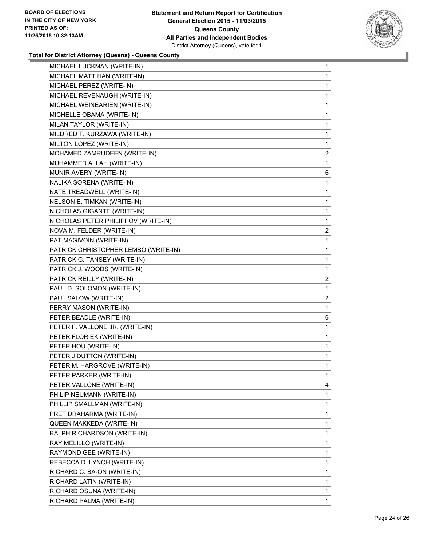

| MICHAEL LUCKMAN (WRITE-IN)           | 1              |
|--------------------------------------|----------------|
| MICHAEL MATT HAN (WRITE-IN)          | 1              |
| MICHAEL PEREZ (WRITE-IN)             | 1              |
| MICHAEL REVENAUGH (WRITE-IN)         | 1              |
| MICHAEL WEINEARIEN (WRITE-IN)        | 1              |
| MICHELLE OBAMA (WRITE-IN)            | 1              |
| MILAN TAYLOR (WRITE-IN)              | 1              |
| MILDRED T. KURZAWA (WRITE-IN)        | 1              |
| MILTON LOPEZ (WRITE-IN)              | 1              |
| MOHAMED ZAMRUDEEN (WRITE-IN)         | 2              |
| MUHAMMED ALLAH (WRITE-IN)            | 1              |
| MUNIR AVERY (WRITE-IN)               | 6              |
| NALIKA SORENA (WRITE-IN)             | 1              |
| NATE TREADWELL (WRITE-IN)            | 1              |
| NELSON E. TIMKAN (WRITE-IN)          | 1              |
| NICHOLAS GIGANTE (WRITE-IN)          | 1              |
| NICHOLAS PETER PHILIPPOV (WRITE-IN)  | 1              |
| NOVA M. FELDER (WRITE-IN)            | $\overline{2}$ |
| PAT MAGIVOIN (WRITE-IN)              | 1              |
| PATRICK CHRISTOPHER LEMBO (WRITE-IN) | 1              |
| PATRICK G. TANSEY (WRITE-IN)         | 1              |
| PATRICK J. WOODS (WRITE-IN)          | 1              |
| PATRICK REILLY (WRITE-IN)            | $\overline{2}$ |
| PAUL D. SOLOMON (WRITE-IN)           | 1              |
| PAUL SALOW (WRITE-IN)                | 2              |
| PERRY MASON (WRITE-IN)               | 1              |
| PETER BEADLE (WRITE-IN)              | 6              |
| PETER F. VALLONE JR. (WRITE-IN)      | 1              |
| PETER FLORIEK (WRITE-IN)             | 1              |
| PETER HOU (WRITE-IN)                 | 1              |
| PETER J DUTTON (WRITE-IN)            | 1              |
| PETER M. HARGROVE (WRITE-IN)         | 1              |
| PETER PARKER (WRITE-IN)              | 1              |
| PETER VALLONE (WRITE-IN)             | 4              |
| PHILIP NEUMANN (WRITE-IN)            | 1              |
| PHILLIP SMALLMAN (WRITE-IN)          | 1              |
| PRET DRAHARMA (WRITE-IN)             | 1              |
| QUEEN MAKKEDA (WRITE-IN)             | 1              |
| RALPH RICHARDSON (WRITE-IN)          | 1              |
| RAY MELILLO (WRITE-IN)               | 1              |
| RAYMOND GEE (WRITE-IN)               | 1              |
| REBECCA D. LYNCH (WRITE-IN)          | 1              |
| RICHARD C. BA-ON (WRITE-IN)          | 1              |
| RICHARD LATIN (WRITE-IN)             | 1              |
| RICHARD OSUNA (WRITE-IN)             | 1              |
| RICHARD PALMA (WRITE-IN)             | 1              |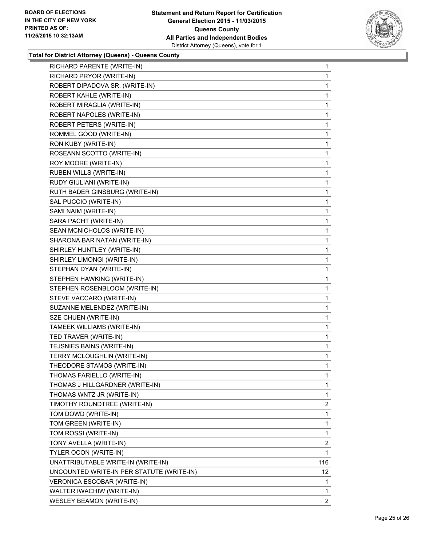

| RICHARD PARENTE (WRITE-IN)                | 1   |
|-------------------------------------------|-----|
| RICHARD PRYOR (WRITE-IN)                  | 1   |
| ROBERT DIPADOVA SR. (WRITE-IN)            | 1   |
| ROBERT KAHLE (WRITE-IN)                   | 1   |
| ROBERT MIRAGLIA (WRITE-IN)                | 1   |
| ROBERT NAPOLES (WRITE-IN)                 | 1   |
| ROBERT PETERS (WRITE-IN)                  | 1   |
| ROMMEL GOOD (WRITE-IN)                    | 1   |
| RON KUBY (WRITE-IN)                       | 1   |
| ROSEANN SCOTTO (WRITE-IN)                 | 1   |
| ROY MOORE (WRITE-IN)                      | 1   |
| <b>RUBEN WILLS (WRITE-IN)</b>             | 1   |
| RUDY GIULIANI (WRITE-IN)                  | 1   |
| RUTH BADER GINSBURG (WRITE-IN)            | 1   |
| SAL PUCCIO (WRITE-IN)                     | 1   |
| SAMI NAIM (WRITE-IN)                      | 1   |
| SARA PACHT (WRITE-IN)                     | 1   |
| SEAN MCNICHOLOS (WRITE-IN)                | 1   |
| SHARONA BAR NATAN (WRITE-IN)              | 1   |
| SHIRLEY HUNTLEY (WRITE-IN)                | 1   |
| SHIRLEY LIMONGI (WRITE-IN)                | 1   |
| STEPHAN DYAN (WRITE-IN)                   | 1   |
| STEPHEN HAWKING (WRITE-IN)                | 1   |
| STEPHEN ROSENBLOOM (WRITE-IN)             | 1   |
| STEVE VACCARO (WRITE-IN)                  | 1   |
| SUZANNE MELENDEZ (WRITE-IN)               | 1   |
| SZE CHUEN (WRITE-IN)                      | 1   |
| TAMEEK WILLIAMS (WRITE-IN)                | 1   |
| TED TRAVER (WRITE-IN)                     | 1   |
| TEJSNIES BAINS (WRITE-IN)                 | 1   |
| TERRY MCLOUGHLIN (WRITE-IN)               | 1   |
| THEODORE STAMOS (WRITE-IN)                | 1   |
| THOMAS FARIELLO (WRITE-IN)                | 1   |
| THOMAS J HILLGARDNER (WRITE-IN)           | 1   |
| THOMAS WNTZ JR (WRITE-IN)                 | 1   |
| TIMOTHY ROUNDTREE (WRITE-IN)              | 2   |
| TOM DOWD (WRITE-IN)                       | 1   |
| TOM GREEN (WRITE-IN)                      | 1   |
| TOM ROSSI (WRITE-IN)                      | 1   |
| TONY AVELLA (WRITE-IN)                    | 2   |
| TYLER OCON (WRITE-IN)                     | 1   |
| UNATTRIBUTABLE WRITE-IN (WRITE-IN)        | 116 |
| UNCOUNTED WRITE-IN PER STATUTE (WRITE-IN) | 12  |
| VERONICA ESCOBAR (WRITE-IN)               | 1   |
| WALTER IWACHIW (WRITE-IN)                 | 1   |
| <b>WESLEY BEAMON (WRITE-IN)</b>           | 2   |